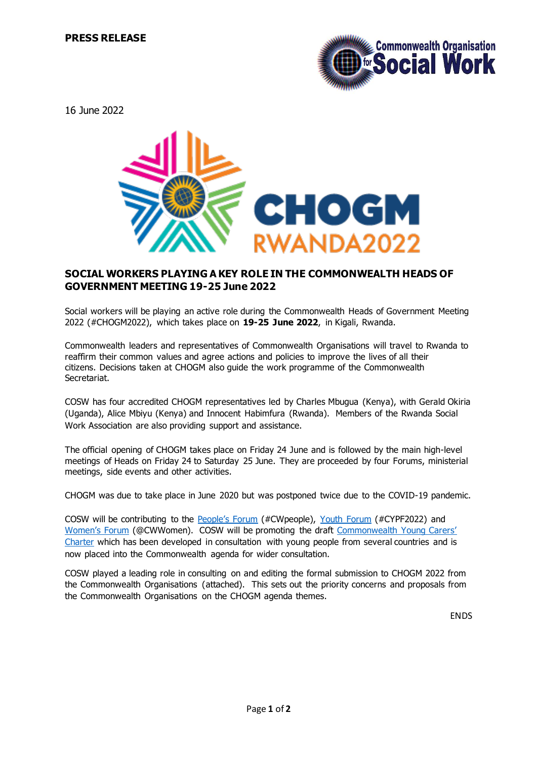

16 June 2022



## **SOCIAL WORKERS PLAYING A KEY ROLE IN THE COMMONWEALTH HEADS OF GOVERNMENT MEETING 19-25 June 2022**

Social workers will be playing an active role during the Commonwealth Heads of Government Meeting 2022 (#CHOGM2022), which takes place on **19-25 June 2022**, in Kigali, Rwanda.

Commonwealth leaders and representatives of Commonwealth Organisations will travel to Rwanda to reaffirm their common values and agree actions and policies to improve the lives of all their citizens. Decisions taken at CHOGM also guide the work programme of the Commonwealth Secretariat.

COSW has four accredited CHOGM representatives led by Charles Mbugua (Kenya), with Gerald Okiria (Uganda), Alice Mbiyu (Kenya) and Innocent Habimfura (Rwanda). Members of the Rwanda Social Work Association are also providing support and assistance.

The official opening of CHOGM takes place on Friday 24 June and is followed by the main high-level meetings of Heads on Friday 24 to Saturday 25 June. They are proceeded by four Forums, ministerial meetings, side events and other activities.

CHOGM was due to take place in June 2020 but was postponed twice due to the COVID-19 pandemic.

COSW will be contributing to the **[People's Forum](https://commonwealthfoundation.com/peoples-forum/)** (#CWpeople), [Youth Forum](https://thecommonwealth.org/events/commonwealth-youth-forum-2022) (#CYPF2022) and [Women's Forum](https://thecommonwealth.org/events/commonwealth-womens-forum-2022) (@CWWomen). COSW will be promoting the draft [Commonwealth Young Carers'](http://www.cosw.info/cosw-news)  [Charter](http://www.cosw.info/cosw-news) which has been developed in consultation with young people from several countries and is now placed into the Commonwealth agenda for wider consultation.

COSW played a leading role in consulting on and editing the formal submission to CHOGM 2022 from the Commonwealth Organisations (attached). This sets out the priority concerns and proposals from the Commonwealth Organisations on the CHOGM agenda themes.

ENDS